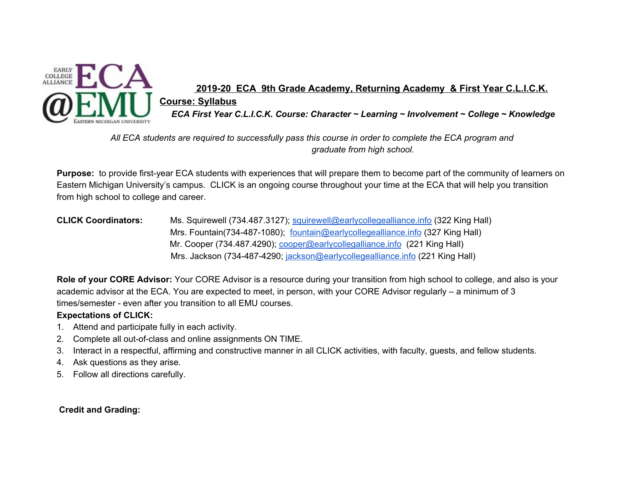

## **2019-20 ECA 9th Grade Academy, Returning Academy & First Year C.L.I.C.K. Course: Syllabus** *ECA First Year C.L.I.C.K. Course: Character ~ Learning ~ Involvement ~ College ~ Knowledge*

All ECA students are required to successfully pass this course in order to complete the ECA program and *graduate from high school.*

**Purpose:** to provide first-year ECA students with experiences that will prepare them to become part of the community of learners on Eastern Michigan University's campus. CLICK is an ongoing course throughout your time at the ECA that will help you transition from high school to college and career.

**CLICK Coordinators:** Ms. Squirewell (734.487.3127); [squirewell@earlycollegealliance.info](mailto:squirewell@earlycollegealliance.info) (322 King Hall) Mrs. Fountain(734-487-1080); [fountain@earlycollegealliance.info](mailto:fountain@earlycollegealliance.info) (327 King Hall) Mr. Cooper (734.487.4290); [cooper@earlycollegalliance.info](mailto:cooper@earlycollegalliance.info) (221 King Hall) Mrs. Jackson (734-487-4290; [jackson@earlycollegealliance.info](mailto:jackson@earlycollegealliance.info) (221 King Hall)

**Role of your CORE Advisor:** Your CORE Advisor is a resource during your transition from high school to college, and also is your academic advisor at the ECA. You are expected to meet, in person, with your CORE Advisor regularly – a minimum of 3 times/semester - even after you transition to all EMU courses.

## **Expectations of CLICK:**

- 1. Attend and participate fully in each activity.
- 2. Complete all out-of-class and online assignments ON TIME.
- 3. Interact in a respectful, affirming and constructive manner in all CLICK activities, with faculty, guests, and fellow students.
- 4. Ask questions as they arise.
- 5. Follow all directions carefully.

**Credit and Grading:**